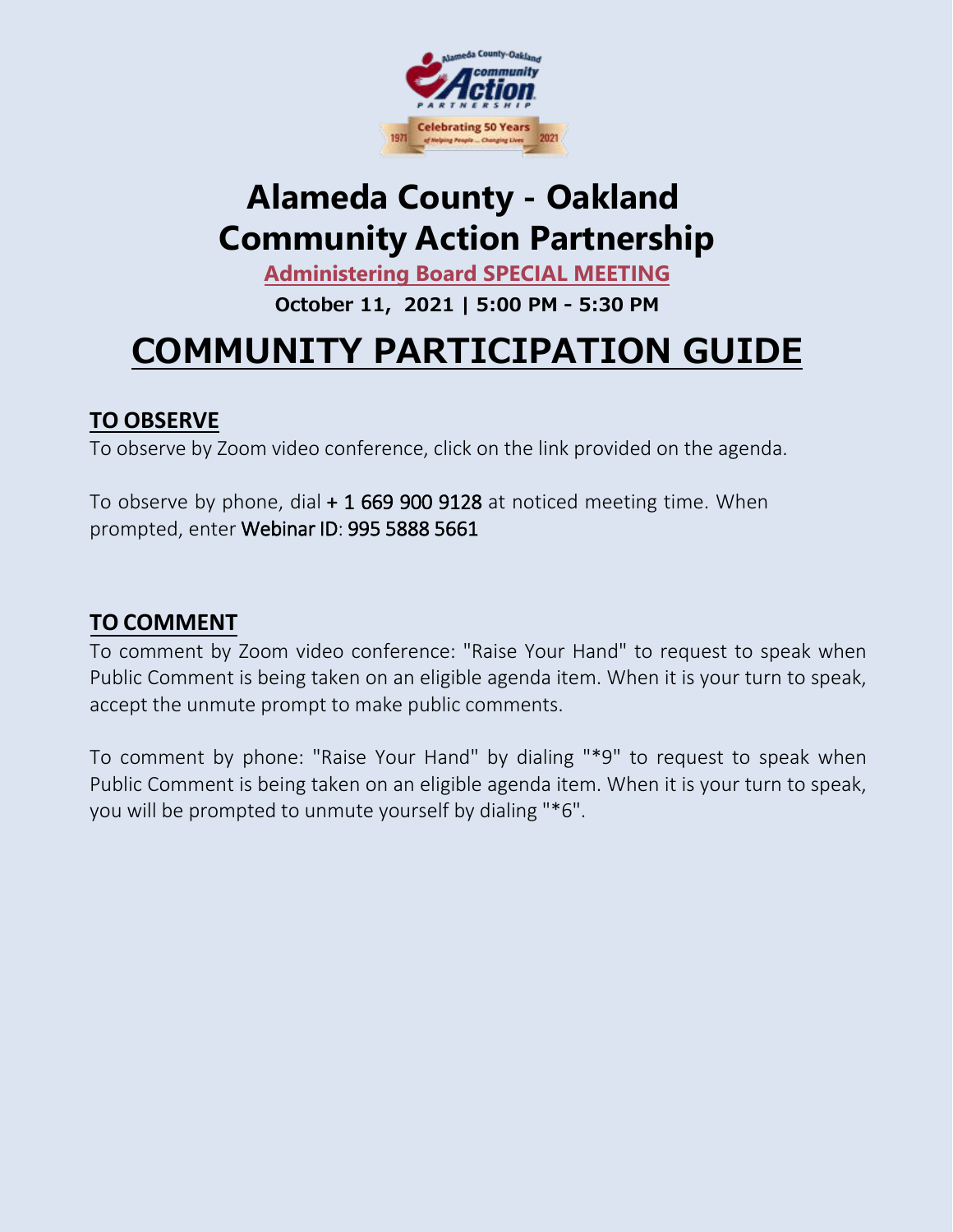

## **[Alameda County](https://zoom.us/j/97866908432) - Oakland [Community](https://zoom.us/j/97866908432) Action Partnership**

**Administering Board [SPECIAL MEETING](https://zoom.us/j/97866908432)**

**[October 11](https://zoom.us/j/97866908432), 2021 | 5:00 PM - 5:30 PM** 

# **COMMUNITY [PARTICIPATION](https://zoom.us/j/97866908432) GUIDE**

### **TO [OBSERVE](https://zoom.us/j/97866908432)**

To observe by Zoom [video conference, click on the link provided on the agenda.](https://zoom.us/j/97866908432)

Toobserve by phone, dial  $+1$  669 900 9128 at noticed meeting time. When [prompted,](https://zoom.us/j/97866908432) enter Webinar ID: 995 5888 5661

### **TO [COMMENT](https://zoom.us/j/97866908432)**

To comment by Zoom video conference: "Raise Your Hand" to request to speak when Public Comment is being taken on an eligible agenda item. When it is your turn to speak, accept the unmute prompt to make public comments.

[To comment by phone: "Raise Your Hand" by dialing "\\*9" to request to speak when](https://zoom.us/j/97866908432) [Public Comment is being taken on an eligible agenda item. When it is your turn to](https://zoom.us/j/97866908432) [speak,](https://zoom.us/j/97866908432)  [you will be prompted to unmute yourself by dialing "\\*6".](https://zoom.us/j/97866908432)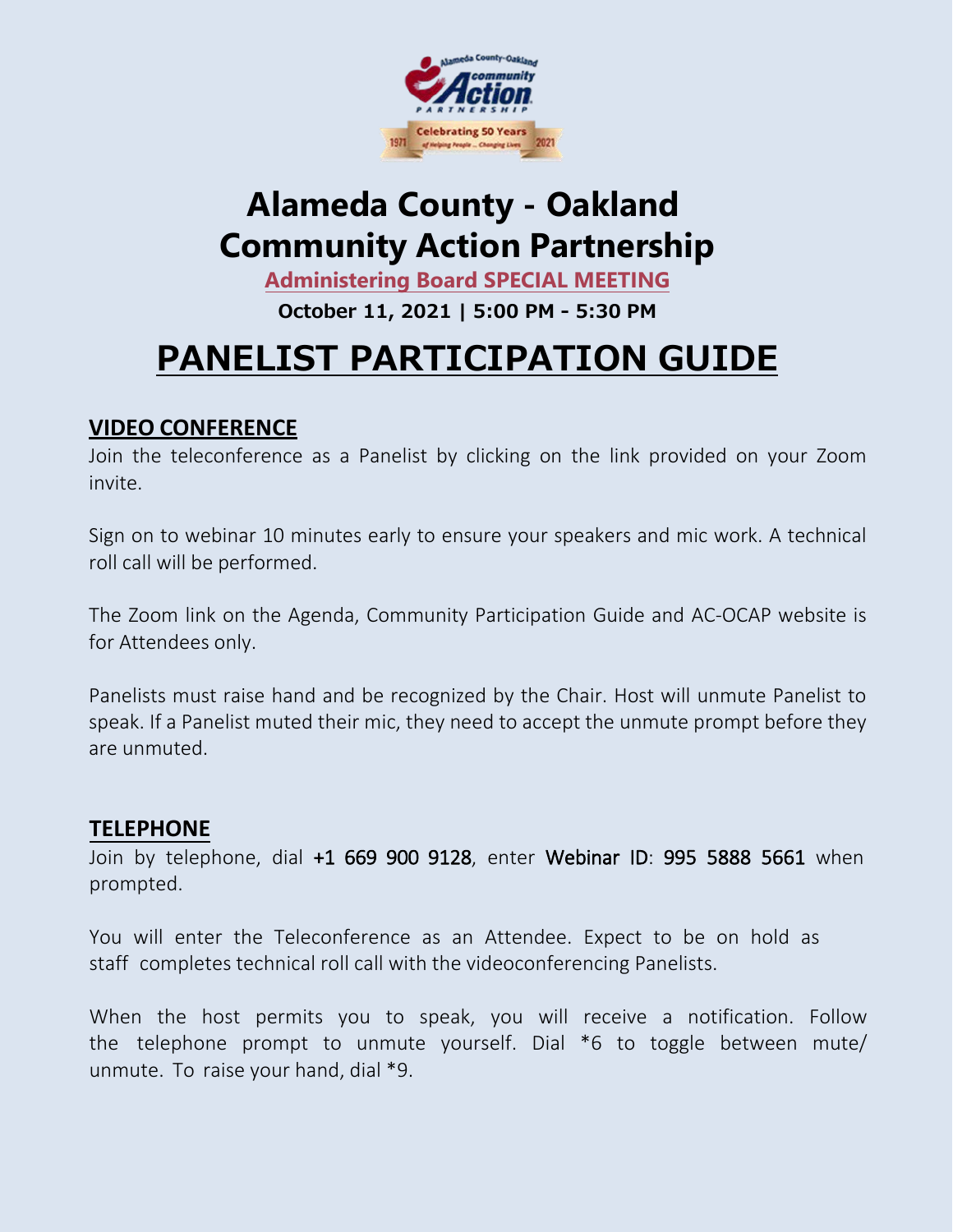

### **[Alameda County](https://zoom.us/j/97866908432) - Oakland [Community](https://zoom.us/j/97866908432) Action Partnership**

**Administering Board [SPECIAL MEETING](https://zoom.us/j/97866908432)**

**[October 11](https://zoom.us/j/97866908432), 2021 | 5:00 PM - 5:30 PM** 

## **PANELIST [PARTICIPATION](https://zoom.us/j/97866908432) GUIDE**

#### **VIDEO CONFERENCE**

Join the teleconference as a Panelist by clicking on the link provided on your Zoom invite.

Sign on to webinar 10 minutes early to ensure your speakers and mic work. A technical roll call will be performed.

The Zoom link on the Agenda, Community Participation Guide and AC-OCAP website is for Attendees only.

Panelists must raise hand and be recognized by the Chair. Host will unmute Panelist to speak. If a Panelist muted their mic, they need to accept the unmute prompt before they are unmuted.

#### **TELEPHONE**

Join by telephone, dial +1 669 900 9128, enter Webinar ID: 995 5888 5661 when prompted.

You will enter the Teleconference as an Attendee. Expect to be on hold as staff completes technical roll call with the videoconferencing Panelists.

When the host permits you to speak, you will receive a notification. Follow the telephone prompt to unmute yourself. Dial \*6 to toggle between mute/ unmute. To raise your hand, dial \*9.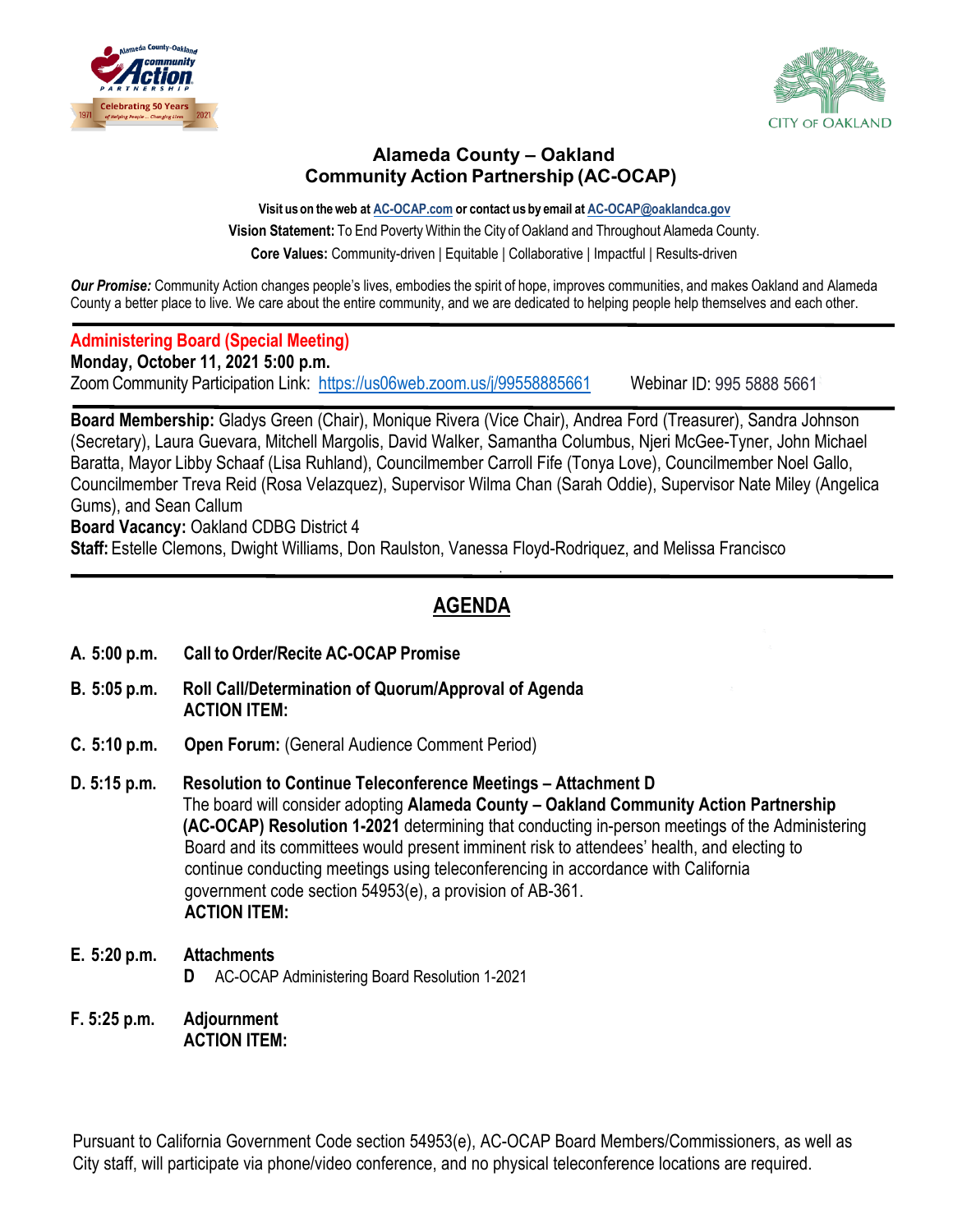



#### **Alameda County – Oakland Community Action Partnership (AC-OCAP)**

**Visit uson theweb at AC-OCAP.com or contact us by email at [AC-OCAP@oaklandca.gov](mailto:AC-OCAP@oaklandca.gov) Vision Statement:** To End Poverty Within the City of Oakland and [Throughout](mailto:AC-OCAP@oaklandca.gov) Alameda County. **Core Values:** Community-driven | Equitable | Collaborative | Impactful | Results-driven

*Our Promise:* Community Action changes people's lives, embodies the spirit of hope, improves communities, and makes Oakland and Alameda County a better place to live. We care about the entire community, and we are dedicated to helping people help themselves and each other.

#### **Administering Board (Special Meeting)**

**Monday, October 11, 2021 5:00 p.m.**

ZoomCommunity Participation Link: <https://us06web.zoom.us/j/99558885661> Webinar ID: 995 5888 5661

**Board Membership:** Gladys Green (Chair), Monique Rivera (Vice Chair), Andrea Ford (Treasurer), Sandra Johnson (Secretary), Laura Guevara, Mitchell Margolis, David Walker, Samantha Columbus, Njeri McGee-Tyner, John Michael Baratta, Mayor Libby Schaaf (Lisa Ruhland), Councilmember Carroll Fife (Tonya Love), Councilmember Noel Gallo, Councilmember Treva Reid (Rosa Velazquez), Supervisor Wilma Chan (Sarah Oddie), Supervisor Nate Miley (Angelica Gums), and Sean Callum

**Board Vacancy:** Oakland CDBG District 4

**Staff:** Estelle Clemons, Dwight Williams, Don Raulston, Vanessa Floyd-Rodriquez, and Melissa Francisco

#### **AGENDA**

.

- **A. 5:00 p.m. Call to Order/Recite AC-OCAP Promise**
- **B. 5:05 p.m. Roll Call/Determination of Quorum/Approval of Agenda ACTION ITEM:**
- **C. 5:10 p.m. Open Forum:** (General Audience Comment Period)
- **D. 5:15 p.m. Resolution to Continue Teleconference Meetings – Attachment D** The board will consider adopting **Alameda County – Oakland Community Action Partnership (AC-OCAP) Resolution 1-2021** determining that conducting in-person meetings of the Administering Board and its committees would present imminent risk to attendees' health, and electing to continue conducting meetings using teleconferencing in accordance with California government code section 54953(e), a provision of AB-361. **ACTION ITEM:**
- **E. 5:20 p.m. Attachments D** AC-OCAP Administering Board Resolution 1-2021
- **F. 5:25 p.m. Adjournment ACTION ITEM:**

Pursuant to California Government Code section 54953(e), AC-OCAP Board Members/Commissioners, as well as City staff, will participate via phone/video conference, and no physical teleconference locations are required.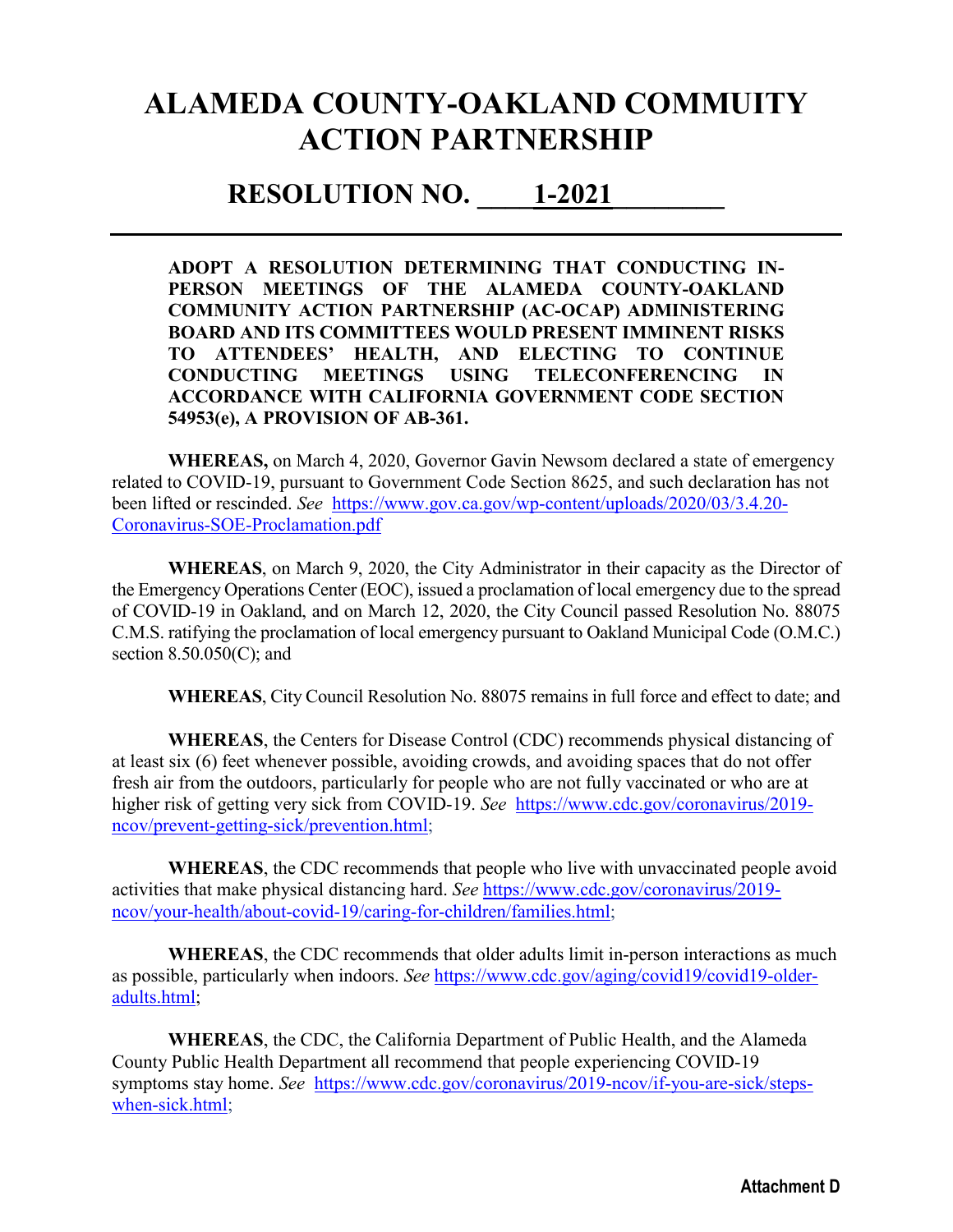### **ALAMEDA COUNTY-OAKLAND COMMUITY ACTION PARTNERSHIP**

#### **RESOLUTION NO.**  $1-2021$

**ADOPT A RESOLUTION DETERMINING THAT CONDUCTING IN-PERSON MEETINGS OF THE ALAMEDA COUNTY-OAKLAND COMMUNITY ACTION PARTNERSHIP (AC-OCAP) ADMINISTERING BOARD AND ITS COMMITTEES WOULD PRESENT IMMINENT RISKS TO ATTENDEES' HEALTH, AND ELECTING TO CONTINUE CONDUCTING MEETINGS USING TELECONFERENCING IN ACCORDANCE WITH CALIFORNIA GOVERNMENT CODE SECTION 54953(e), A PROVISION OF AB-361.** 

**WHEREAS,** on March 4, 2020, Governor Gavin Newsom declared a state of emergency related to COVID-19, pursuant to Government Code Section 8625, and such declaration has not been lifted or rescinded. *See* [https://www.gov.ca.gov/wp-content/uploads/2020/03/3.4.20-](https://www.gov.ca.gov/wp-content/uploads/2020/03/3.4.20-Coronavirus-SOE-Proclamation.pdf) [Coronavirus-SOE-Proclamation.pdf](https://www.gov.ca.gov/wp-content/uploads/2020/03/3.4.20-Coronavirus-SOE-Proclamation.pdf) 

**WHEREAS**, on March 9, 2020, the City Administrator in their capacity as the Director of the Emergency Operations Center (EOC), issued a proclamation of local emergency due to the spread of COVID-19 in Oakland, and on March 12, 2020, the City Council passed Resolution No. 88075 C.M.S. ratifying the proclamation of local emergency pursuant to Oakland Municipal Code (O.M.C.) section 8.50.050(C); and

**WHEREAS**, City Council Resolution No. 88075 remains in full force and effect to date; and

**WHEREAS**, the Centers for Disease Control (CDC) recommends physical distancing of at least six (6) feet whenever possible, avoiding crowds, and avoiding spaces that do not offer fresh air from the outdoors, particularly for people who are not fully vaccinated or who are at higher risk of getting very sick from COVID-19. *See* [https://www.cdc.gov/coronavirus/2019](https://www.cdc.gov/coronavirus/2019-ncov/prevent-getting-sick/prevention.html) [ncov/prevent-getting-sick/prevention.html;](https://www.cdc.gov/coronavirus/2019-ncov/prevent-getting-sick/prevention.html)

**WHEREAS**, the CDC recommends that people who live with unvaccinated people avoid activities that make physical distancing hard. *See* [https://www.cdc.gov/coronavirus/2019](https://www.cdc.gov/coronavirus/2019-ncov/your-health/about-covid-19/caring-for-children/families.html) [ncov/your-health/about-covid-19/caring-for-children/families.html;](https://www.cdc.gov/coronavirus/2019-ncov/your-health/about-covid-19/caring-for-children/families.html)

**WHEREAS**, the CDC recommends that older adults limit in-person interactions as much as possible, particularly when indoors. *See* [https://www.cdc.gov/aging/covid19/covid19-older](https://www.cdc.gov/aging/covid19/covid19-older-adults.html)[adults.html;](https://www.cdc.gov/aging/covid19/covid19-older-adults.html)

**WHEREAS**, the CDC, the California Department of Public Health, and the Alameda County Public Health Department all recommend that people experiencing COVID-19 symptoms stay home. *See* [https://www.cdc.gov/coronavirus/2019-ncov/if-you-are-sick/steps](https://www.cdc.gov/coronavirus/2019-ncov/if-you-are-sick/steps-when-sick.html)[when-sick.html;](https://www.cdc.gov/coronavirus/2019-ncov/if-you-are-sick/steps-when-sick.html)